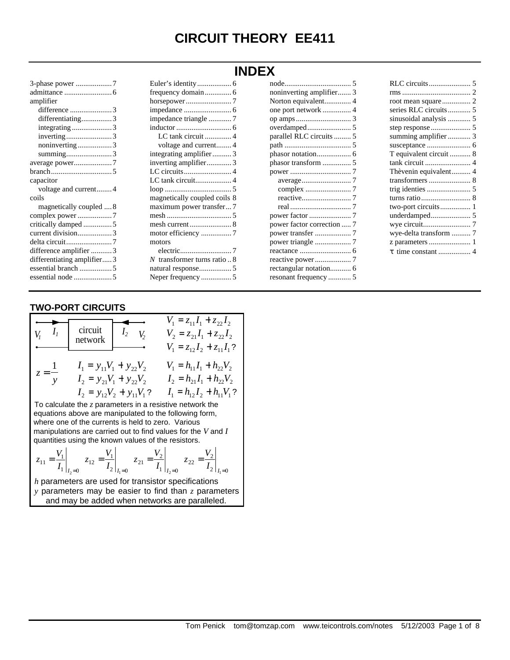# **CIRCUIT THEORY EE411**

| 3-phase power 7            |
|----------------------------|
|                            |
| amplifier                  |
| difference 3               |
| differentiating3           |
| integrating 3              |
| inverting3                 |
| noninverting3              |
| summing3                   |
|                            |
|                            |
| capacitor                  |
| voltage and current4       |
| coils                      |
| magnetically coupled  8    |
| complex power 7            |
|                            |
| current division3          |
|                            |
| difference amplifier 3     |
| differentiating amplifier3 |
| essential branch 5         |
|                            |

|                                | <b>INDEX</b> |
|--------------------------------|--------------|
|                                | no           |
| frequency domain 6             | no           |
|                                | N            |
|                                | on           |
| impedance triangle 7           | op           |
|                                | OV           |
| LC tank circuit 4              | pa           |
| voltage and current4           | pa           |
| integrating amplifier3         | ph           |
| inverting amplifier3           | ph           |
| LC circuits 4                  | po           |
|                                |              |
|                                |              |
| magnetically coupled coils 8   |              |
| maximum power transfer7        |              |
|                                | pо           |
|                                | pо           |
| motor efficiency 7             | pо           |
| motors                         | pо           |
|                                | rea          |
| N transformer turns ratio $.8$ | re           |
| natural response 5             | re           |
| Neper frequency 5              | re:          |

| noninverting amplifier 3   |  |
|----------------------------|--|
| Norton equivalent 4        |  |
|                            |  |
|                            |  |
|                            |  |
| parallel RLC circuits  5   |  |
|                            |  |
|                            |  |
|                            |  |
|                            |  |
|                            |  |
|                            |  |
|                            |  |
|                            |  |
|                            |  |
| power factor correction  7 |  |
|                            |  |
|                            |  |
|                            |  |
|                            |  |
| rectangular notation 6     |  |
| resonant frequency  5      |  |

| series RLC circuits 5  |
|------------------------|
| sinusoidal analysis  5 |
|                        |
| summing amplifier  3   |
|                        |
| T equivalent circuit 8 |
|                        |
|                        |
|                        |
|                        |
|                        |
| two-port circuits 1    |
|                        |
|                        |
| wye-delta transform  7 |
|                        |
|                        |

# **TWO-PORT CIRCUITS**

| $V_I$ $I_I$       | circuit<br>network<br>$I_2$ $V_2$                          | $V_1 = z_{11}I_1 + z_{22}I_2$<br>$V_2 = z_{21}I_1 + z_{22}I_2$<br>$V_1 = z_{12}I_2 + z_{11}I_1$ ? |
|-------------------|------------------------------------------------------------|---------------------------------------------------------------------------------------------------|
| $\mathbf{1}$      | $I_1 = y_{11}V_1 + y_{22}V_2$                              | $V_1 = h_{11}I_1 + h_{22}V_2$                                                                     |
| $z = \frac{1}{y}$ | $I_2 = y_{21}V_1 + y_{22}V_2$                              | $I_2 = h_{21}I_1 + h_{22}V_2$                                                                     |
|                   | $I_2 = y_{12}V_2 + y_{11}V_1$ ?                            | $I_1 = h_{12}I_2 + h_{11}V_1$ ?                                                                   |
|                   | To calculate the $z$ parameters in a resistive network the |                                                                                                   |

equations above are manipulated to the following form, where one of the currents is held to zero. Various manipulations are carried out to find values for the *V* and *I* quantities using the known values of the resistors.

$$
z_{11} = \frac{V_1}{I_1}\bigg|_{I_2=0} \quad z_{12} = \frac{V_1}{I_2}\bigg|_{I_1=0} \quad z_{21} = \frac{V_2}{I_1}\bigg|_{I_2=0} \quad z_{22} = \frac{V_2}{I_2}\bigg|_{I_1=0}
$$

*h* parameters are used for transistor specifications *y* parameters may be easier to find than *z* parameters and may be added when networks are paralleled.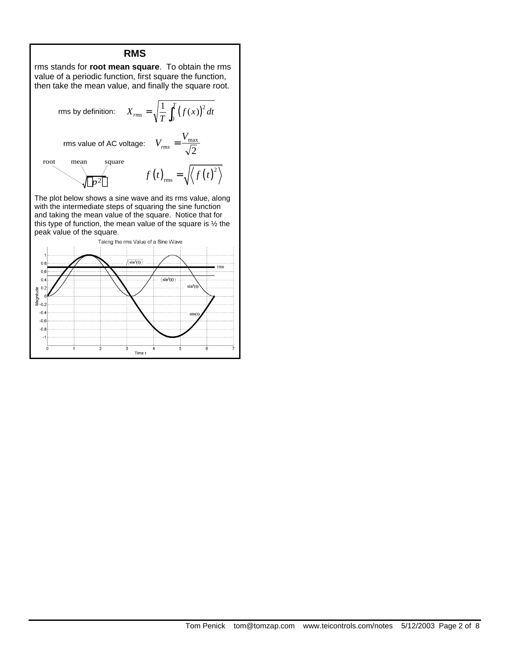#### **RMS**

rms stands for **root mean square**. To obtain the rms value of a periodic function, first square the function, then take the mean value, and finally the square root.

rms by definition: 
$$
X_{rms} = \sqrt{\frac{1}{T} \int_0^T (f(x))^2 dt}
$$
  
\nrms value of AC voltage:  $V_{rms} = \frac{V_{max}}{\sqrt{2}}$   
\nroot mean square  
\n $f(t)_{rms} = \sqrt{\langle f(t)^2 \rangle}$ 

The plot below shows a sine wave and its rms value, along with the intermediate steps of squaring the sine function and taking the mean value of the square. Notice that for this type of function, the mean value of the square is ½ the peak value of the square.

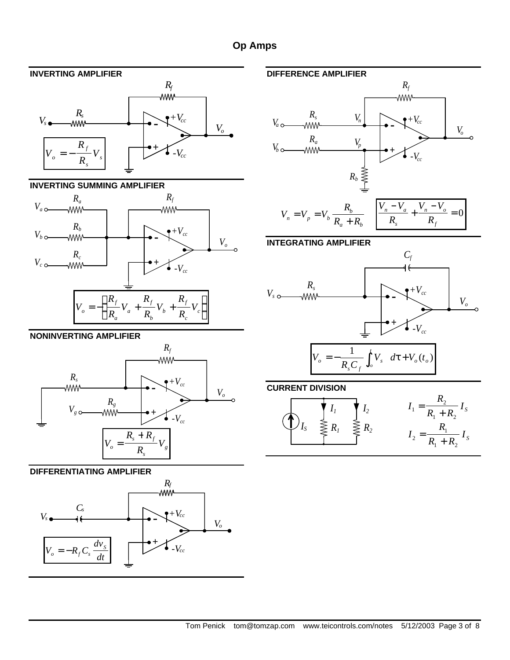# **Op Amps**

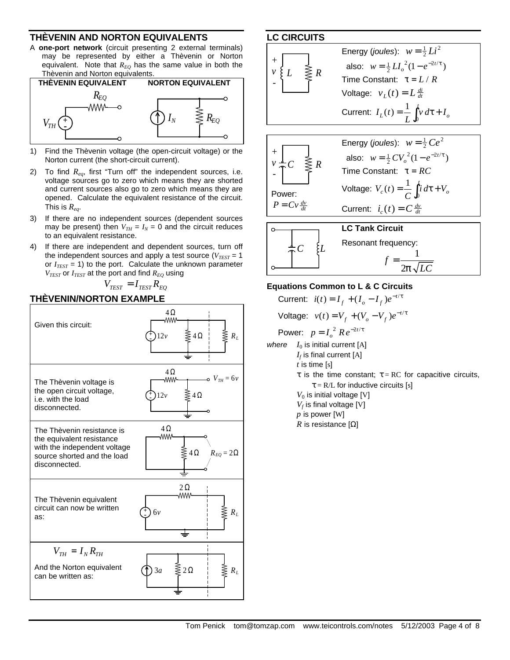#### **THÈVENIN AND NORTON EQUIVALENTS**

A **one-port network** (circuit presenting 2 external terminals) may be represented by either a Thèvenin or Norton equivalent. Note that  $R_{EQ}$  has the same value in both the Thèvenin and Norton equivalents.



- 1) Find the Thèvenin voltage (the open-circuit voltage) or the Norton current (the short-circuit current).
- 2) To find *Req*, first "Turn off" the independent sources, i.e. voltage sources go to zero which means they are shorted and current sources also go to zero which means they are opened. Calculate the equivalent resistance of the circuit. This is *Req*.
- 3) If there are no independent sources (dependent sources may be present) then  $V_{TH} = I_N = 0$  and the circuit reduces to an equivalent resistance.
- 4) If there are independent and dependent sources, turn off the independent sources and apply a test source  $(V_{TEST} = 1)$ or  $I_{TEST}$  = 1) to the port. Calculate the unknown parameter  $V_{TEST}$  or  $I_{TEST}$  at the port and find  $R_{EQ}$  using

 $V_{TEST} = I_{TEST} R_{EO}$ 

# **THÈVENIN/NORTON EXAMPLE**



#### **LC CIRCUITS**



#### **Equations Common to L & C Circuits**

Current:  $i(t) = I_f + (I_o - I_f)e^{-t/\tau}$ Voltage:  $v(t) = V_f + (V_o - V_f)e^{-t/\tau}$ Power:  $p = I_o^2$   $Re^{-2t/\tau}$ *where*  $I_0$  is initial current  $[A]$  $I_f$  is final current [A] *t* is time [s] τ is the time constant; τ = RC for capacitive circuits,  $\tau = R/L$  for inductive circuits [s]  $V_0$  is initial voltage [V]  $V_f$  is final voltage [V] *p* is power [W] *R* is resistance  $[Ω]$ 

2

 $p\surd LC$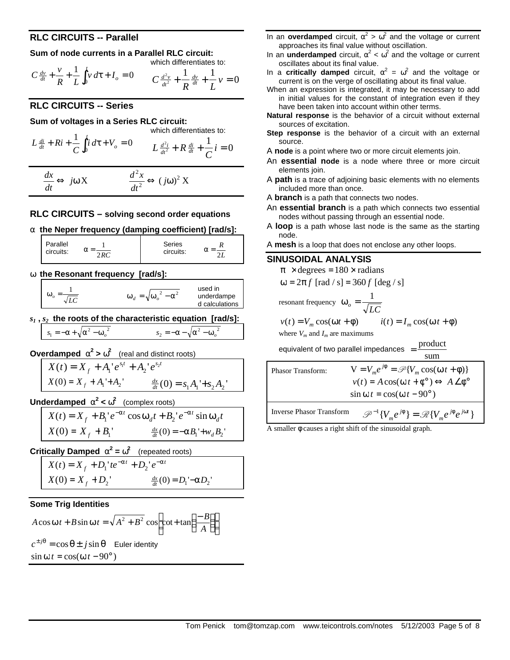# **RLC CIRCUITS -- Parallel**

#### **Sum of node currents in a Parallel RLC circuit:**

which differentiates to:  

$$
y = 1
$$
  $f^{t}$ 

$$
C \frac{dv}{dt} + \frac{v}{R} + \frac{1}{L} \int_0^t v \, d\tau + I_o = 0 \qquad C \frac{d^2 v}{dt^2} + \frac{1}{R} \frac{dv}{dt} + \frac{1}{L} v = 0
$$

# **RLC CIRCUITS -- Series**

**Sum of voltages in a Series RLC circuit:**

which differentiates to:  
\n
$$
L \frac{di}{dt} + Ri + \frac{1}{C} \int_0^t i \, d\tau + V_o = 0
$$
\n
$$
L \frac{d^2i}{dt^2} + R \frac{di}{dt} + \frac{1}{C} i = 0
$$

*dx dt*  $\Leftrightarrow$  *j*ω X  $\frac{d^2x}{dx^2}$ *dt j*  $\frac{2}{2} \times \frac{1}{2} \Longleftrightarrow (j\omega)^2$  X

# **RLC CIRCUITS – solving second order equations**

**a the Neper frequency (damping coefficient) [rad/s]:**

| Parallel  | n da    | Series    |  |
|-----------|---------|-----------|--|
| circuits: | - 1 J J | circuits: |  |
|           |         |           |  |

**w the Resonant frequency [rad/s]:**

| $\omega_d = \sqrt{\omega_a^2 - \alpha^2}$ | used in<br>underdampe<br>d calculations |
|-------------------------------------------|-----------------------------------------|
|-------------------------------------------|-----------------------------------------|

*s1* **,** *s2* **the roots of the characteristic equation [rad/s]:**

$$
s_1 = -\alpha + \sqrt{\alpha^2 - {\omega_o}^2} \qquad s_2 = -\alpha - \sqrt{\alpha^2 - {\omega_o}^2}
$$

**Overdamped**  $\mathbf{a}^2 > \mathbf{w}^2$  (real and distinct roots)

$$
X(t) = X_f + A_1' e^{s_1 t} + A_2' e^{s_2 t}
$$
  

$$
X(0) = X_f + A_1' + A_2'
$$
  

$$
\frac{dx}{dt}(0) = s_1 A_1' + s_2 A_2'
$$

**Underdamped**  $\mathbf{a}^2 < \mathbf{w}^2$  (complex roots)

$$
X(t) = X_f + B_1' e^{-\alpha t} \cos \omega_d t + B_2' e^{-\alpha t} \sin \omega_d t
$$
  

$$
X(0) = X_f + B_1' \qquad \frac{dx}{dt}(0) = -\alpha B_1' + w_d B_2'
$$

**Critically Damped**  $\mathbf{a}^2 = \mathbf{w}^2$  (repeated roots)

$$
X(t) = X_f + D_1'te^{-\alpha t} + D_2'e^{-\alpha t}
$$
  

$$
X(0) = X_f + D_2'
$$
  

$$
\frac{dx}{dt}(0) = D_1' - \alpha D_2'
$$

### **Some Trig Identities**

$$
A\cos\omega t + B\sin\omega t = \sqrt{A^2 + B^2} \cos\left[\cot t + \tan\left(\frac{-B}{A}\right)\right]
$$
  

$$
c^{\pm j\theta} = \cos\theta \pm j\sin\theta \quad \text{Euler identity}
$$
  

$$
\sin\omega t = \cos(\omega t - 90^\circ)
$$

- In an **overdamped** circuit,  $\alpha^2 > \omega^2$  and the voltage or current approaches its final value without oscillation.
- In an **underdamped** circuit,  $α^2 < ω^2$  and the voltage or current oscillates about its final value.
- In a **critically damped** circuit,  $\alpha^2 = \omega^2$  and the voltage or current is on the verge of oscillating about its final value.
- When an expression is integrated, it may be necessary to add in initial values for the constant of integration even if they have been taken into account within other terms.
- **Natural response** is the behavior of a circuit without external sources of excitation.
- **Step response** is the behavior of a circuit with an external source.
- A **node** is a point where two or more circuit elements join.
- An **essential node** is a node where three or more circuit elements join.
- A **path** is a trace of adjoining basic elements with no elements included more than once.
- A **branch** is a path that connects two nodes.
- An **essential branch** is a path which connects two essential nodes without passing through an essential node.
- A **loop** is a path whose last node is the same as the starting node.
- A **mesh** is a loop that does not enclose any other loops.

# **SINUSOIDAL ANALYSIS**

Г

 $\pi \times$  degrees = 180  $\times$  radians  $ω = 2π f$  [rad / s] = 360 f [deg / s] resonant frequency  $\omega_o = \frac{1}{\sqrt{LC}}$  $=\frac{1}{\sqrt{2}}$  $v(t) = V_m \cos(\omega t + \phi)$   $i(t) = I_m \cos(\omega t)$  $i(t) = I_m \cos(\omega t + \phi)$ where  $V_m$  and  $I_m$  are maximums equivalent of two parallel impedances  $=$   $\frac{\text{product}}{\text{product}}$ sum *j*

| <b>Phasor Transform:</b>                                                      | $V = V_m e^{j\phi} = \mathcal{P}{V_m \cos(\omega t + \phi)}$                 |  |
|-------------------------------------------------------------------------------|------------------------------------------------------------------------------|--|
| $v(t) = A\cos(\omega t + \phi^{\circ}) \Leftrightarrow A \angle \phi^{\circ}$ |                                                                              |  |
|                                                                               | $\sin \omega t = \cos(\omega t - 90^{\circ})$                                |  |
| Inverse Phasor Transform                                                      | $\mathscr{P}^{-1}{V_m e^{j\phi}} = \mathscr{R}{V_m e^{j\phi} e^{j\omega t}}$ |  |

A smaller φ causes a right shift of the sinusoidal graph.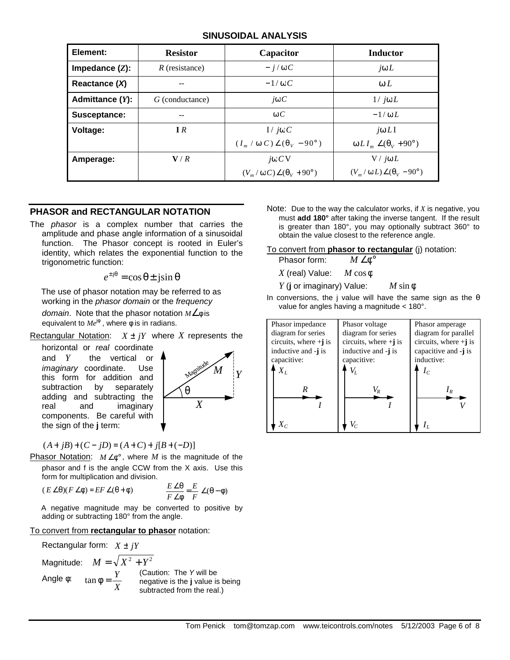### **SINUSOIDAL ANALYSIS**

| Element:           | <b>Resistor</b>  | Capacitor                                         | <b>Inductor</b>                             |
|--------------------|------------------|---------------------------------------------------|---------------------------------------------|
| Impedance $(Z)$ :  | $R$ (resistance) | $- i/\omega C$                                    | $j\omega L$                                 |
| Reactance $(X)$    |                  | $-1/\omega C$                                     | $\omega L$                                  |
| Admittance $(Y)$ : | G (conductance)  | $j\omega C$                                       | $1/$ jo L                                   |
| Susceptance:       | --               | $\omega C$                                        | $-1/\omega L$                               |
| Voltage:           | IR               | $I / j\omega C$                                   | $j\omega L$ I                               |
|                    |                  | $(I_m / \omega C) \angle (\theta_V - 90^{\circ})$ | $\omega L I_m \angle (\theta_V + 90^\circ)$ |
| Amperage:          | V/R              | $j\omega CV$                                      | $V / j\omega L$                             |
|                    |                  | $(V_m/\omega C)\angle(\theta_V+90^\circ)$         | $(V_m/\omega L)\angle(\theta_V-90^\circ)$   |

# **PHASOR and RECTANGULAR NOTATION**

The *phasor* is a complex number that carries the amplitude and phase angle information of a sinusoidal function. The Phasor concept is rooted in Euler's identity, which relates the exponential function to the trigonometric function:

 $e^{\pm j\theta} = \cos \theta \pm j\sin \theta$ 

The use of phasor notation may be referred to as working in the *phasor domain* or the *frequency* 

*domain*. Note that the phasor notation *M*∠φ is equivalent to  $Me^{j\phi}$  , where  $\phi$  is in radians.

Rectangular Notation:  $X \pm iY$  where X represents the

horizontal or *real* coordinate and *Y* the vertical or *imaginary* coordinate. Use this form for addition and subtraction by separately adding and subtracting the real and imaginary components. Be careful with the sign of the **j** term:



 $(A + jB) + (C – jD) = (A + C) + j[B + (-D)]$ 

Phasor Notation: *M* ∠φ° , where *M* is the magnitude of the phasor and f is the angle CCW from the X axis. Use this form for multiplication and division.

$$
(E \angle \theta)(F \angle \phi) = EF \angle (\theta + \phi) \qquad \qquad \frac{E \angle \theta}{F \angle \phi} = \frac{E}{F} \angle (\theta - \phi)
$$

A negative magnitude may be converted to positive by adding or subtracting 180° from the angle.

#### To convert from **rectangular to phasor** notation:

Rectangular form:  $X \pm jY$ Magnitude:  $M = \sqrt{X^2 + Y^2}$ Angle  $\phi$ : tan  $\phi = \frac{Y}{Y}$ *X* (Caution: The *Y* will be negative is the **j** value is being subtracted from the real.)

Note: Due to the way the calculator works, if *X* is negative, you must **add 180°** after taking the inverse tangent. If the result is greater than 180°, you may optionally subtract 360° to obtain the value closest to the reference angle.

To convert from **phasor to rectangular** (j) notation:

Phasor form: *M* ∠φ°

*X* (real) Value: *M* cos φ

*Y* (**j** or imaginary) Value: *M* sin φ

In conversions, the j value will have the same sign as the  $\theta$ value for angles having a magnitude < 180°.

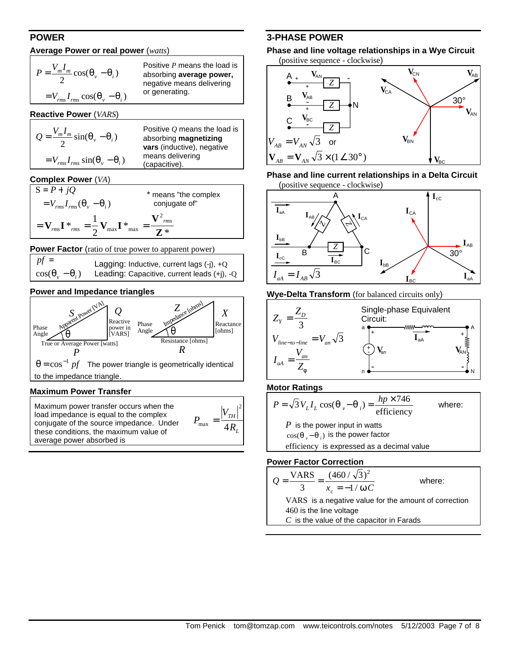# **POWER**

#### **Average Power or real power** (*watts*)

| $P = \frac{V_m I_m}{2} \cos(\theta_v - \theta_i)$ | Positive P means the load is<br>absorbing average power,<br>negative means delivering |
|---------------------------------------------------|---------------------------------------------------------------------------------------|
| $=V_{rms}I_{rms} \cos(\theta_{v} - \theta_{i})$   | or generating.                                                                        |

**Reactive Power** (*VARS*)

| $Q = \frac{V_m I_m}{2} \sin(\theta_v - \theta_i)$ | Positive $O$ means the load is<br>absorbing magnetizing<br>vars (inductive), negative |
|---------------------------------------------------|---------------------------------------------------------------------------------------|
| $= V_{rms} I_{rms} \sin(\theta_v - \theta_i)$     | means delivering<br>(capacitive).                                                     |

#### **Complex Power** (*VA*)

| $S = P + iQ$                                                                                          | * means "the complex |
|-------------------------------------------------------------------------------------------------------|----------------------|
| $=V_{rms}I_{rms}(\theta_v-\theta_i)$                                                                  | conjugate of"        |
| $= \mathbf{V}_{rms} \mathbf{I} *_{rms} = \frac{1}{2} \mathbf{V}_{max} \mathbf{I} *_{\text{m}}$<br>max | rms                  |

**Power Factor** (ratio of true power to apparent power)

| $pf =$                      | Lagging: Inductive, current lags $(-i)$ , $+Q$ |
|-----------------------------|------------------------------------------------|
| $\cos(\theta_u - \theta_i)$ | Leading: Capacitive, current leads (+j), -Q    |

### **Power and Impedance triangles**



#### **Maximum Power Transfer**

| Maximum power transfer occurs when the<br>load impedance is equal to the complex<br>conjugate of the source impedance. Under<br>these conditions, the maximum value of<br>average power absorbed is | $ V_{TH} $<br>max<br>4R, |
|-----------------------------------------------------------------------------------------------------------------------------------------------------------------------------------------------------|--------------------------|
|-----------------------------------------------------------------------------------------------------------------------------------------------------------------------------------------------------|--------------------------|

# **3-PHASE POWER**

**Phase and line voltage relationships in a Wye Circuit** (positive sequence - clockwise)



**Phase and line current relationships in a Delta Circuit** (positive sequence - clockwise)



**Wye-Delta Transform** (for balanced circuits only)



**Motor Ratings** 



**Power Factor Correction** 

$$
Q = \frac{\text{VARS}}{3} = \frac{(460/\sqrt{3})^2}{x_c = -1/\omega C}
$$

where:

VARS is a negative value for the amount of correction 460 is the line voltage

*C* is the value of the capacitor in Farads